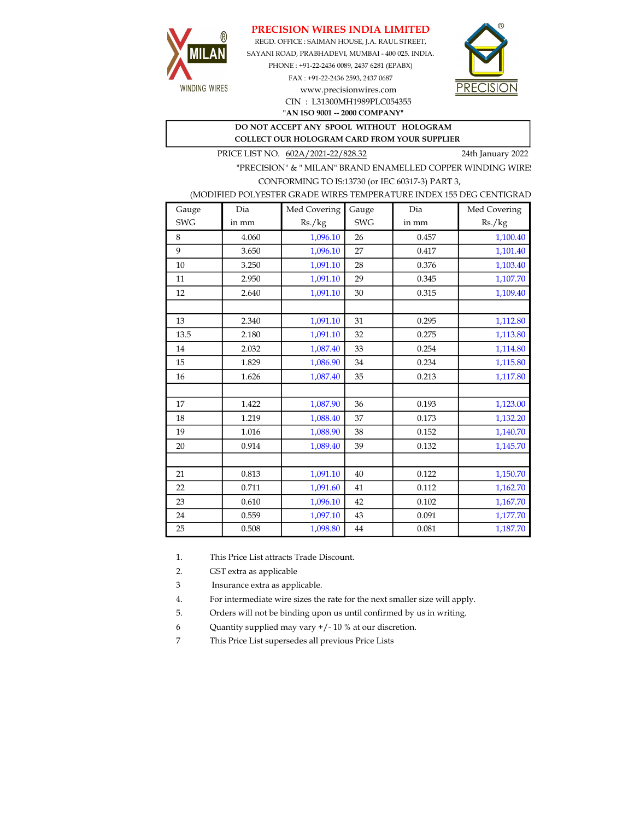## PRECISION WIRES INDIA LIMITED



REGD. OFFICE : SAIMAN HOUSE, J.A. RAUL STREET, SAYANI ROAD, PRABHADEVI, MUMBAI - 400 025. INDIA. PHONE : +91-22-2436 0089, 2437 6281 (EPABX)

> FAX : +91-22-2436 2593, 2437 0687 www.precisionwires.com CIN : L31300MH1989PLC054355



"AN ISO 9001 -- 2000 COMPANY"

DO NOT ACCEPT ANY SPOOL WITHOUT HOLOGRAM COLLECT OUR HOLOGRAM CARD FROM YOUR SUPPLIER

PRICE LIST NO. 602A/2021-22/828.32 24th January 2022

"PRECISION" & " MILAN" BRAND ENAMELLED COPPER WINDING WIRE CONFORMING TO IS:13730 (or IEC 60317-3) PART 3,

## (MODIFIED POLYESTER GRADE WIRES TEMPERATURE INDEX 155 DEG CENTIGRAD

| Gauge      | Dia   | Med Covering | Gauge      | Dia   | Med Covering |
|------------|-------|--------------|------------|-------|--------------|
| <b>SWG</b> | in mm | Rs./kg       | <b>SWG</b> | in mm | Rs./kg       |
| 8          | 4.060 | 1,096.10     | 26         | 0.457 | 1,100.40     |
| 9          | 3.650 | 1,096.10     | 27         | 0.417 | 1,101.40     |
| 10         | 3.250 | 1,091.10     | 28         | 0.376 | 1,103.40     |
| 11         | 2.950 | 1,091.10     | 29         | 0.345 | 1,107.70     |
| 12         | 2.640 | 1,091.10     | 30         | 0.315 | 1,109.40     |
|            |       |              |            |       |              |
| 13         | 2.340 | 1,091.10     | 31         | 0.295 | 1,112.80     |
| 13.5       | 2.180 | 1,091.10     | 32         | 0.275 | 1,113.80     |
| 14         | 2.032 | 1,087.40     | 33         | 0.254 | 1,114.80     |
| 15         | 1.829 | 1,086.90     | 34         | 0.234 | 1,115.80     |
| 16         | 1.626 | 1,087.40     | 35         | 0.213 | 1,117.80     |
|            |       |              |            |       |              |
| 17         | 1.422 | 1,087.90     | 36         | 0.193 | 1,123.00     |
| 18         | 1.219 | 1,088.40     | 37         | 0.173 | 1,132.20     |
| 19         | 1.016 | 1,088.90     | 38         | 0.152 | 1,140.70     |
| 20         | 0.914 | 1,089.40     | 39         | 0.132 | 1,145.70     |
|            |       |              |            |       |              |
| 21         | 0.813 | 1,091.10     | 40         | 0.122 | 1,150.70     |
| 22         | 0.711 | 1,091.60     | 41         | 0.112 | 1,162.70     |
| 23         | 0.610 | 1,096.10     | 42         | 0.102 | 1,167.70     |
| 24         | 0.559 | 1,097.10     | 43         | 0.091 | 1,177.70     |
| 25         | 0.508 | 1,098.80     | 44         | 0.081 | 1,187.70     |

1. This Price List attracts Trade Discount.

2. GST extra as applicable

3 Insurance extra as applicable.

4. For intermediate wire sizes the rate for the next smaller size will apply.

5. Orders will not be binding upon us until confirmed by us in writing.

6 Quantity supplied may vary +/- 10 % at our discretion.

7 This Price List supersedes all previous Price Lists